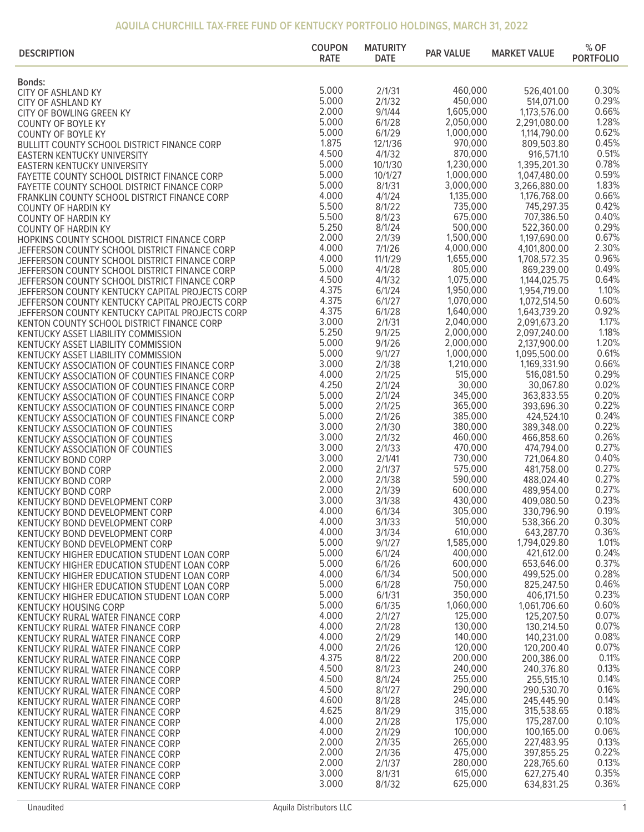## **AQUILA CHURCHILL TAX-FREE FUND OF KENTUCKY PORTFOLIO HOLDINGS, MARCH 31, 2022**

| <b>DESCRIPTION</b>                                                                             | <b>COUPON</b><br><b>RATE</b> | <b>MATURITY</b><br><b>DATE</b> | <b>PAR VALUE</b>       | <b>MARKET VALUE</b>          | $%$ OF<br><b>PORTFOLIO</b> |
|------------------------------------------------------------------------------------------------|------------------------------|--------------------------------|------------------------|------------------------------|----------------------------|
| <b>Bonds:</b>                                                                                  |                              |                                |                        |                              |                            |
| CITY OF ASHLAND KY                                                                             | 5.000                        | 2/1/31                         | 460,000                | 526,401.00                   | 0.30%                      |
| CITY OF ASHLAND KY                                                                             | 5.000                        | 2/1/32                         | 450,000                | 514,071.00                   | 0.29%                      |
| CITY OF BOWLING GREEN KY                                                                       | 2.000                        | 9/1/44                         | 1,605,000              | 1,173,576.00                 | 0.66%                      |
| <b>COUNTY OF BOYLE KY</b>                                                                      | 5.000                        | 6/1/28                         | 2,050,000              | 2,291,080.00                 | 1.28%                      |
| <b>COUNTY OF BOYLE KY</b>                                                                      | 5.000                        | 6/1/29                         | 1,000,000              | 1,114,790.00                 | 0.62%                      |
| BULLITT COUNTY SCHOOL DISTRICT FINANCE CORP                                                    | 1.875                        | 12/1/36                        | 970,000                | 809,503.80                   | 0.45%                      |
| <b>EASTERN KENTUCKY UNIVERSITY</b>                                                             | 4.500                        | 4/1/32                         | 870,000                | 916,571.10                   | 0.51%                      |
| <b>EASTERN KENTUCKY UNIVERSITY</b>                                                             | 5.000                        | 10/1/30                        | 1,230,000              | 1,395,201.30                 | 0.78%                      |
| FAYETTE COUNTY SCHOOL DISTRICT FINANCE CORP                                                    | 5.000<br>5.000               | 10/1/27<br>8/1/31              | 1,000,000<br>3,000,000 | 1,047,480.00                 | 0.59%<br>1.83%             |
| FAYETTE COUNTY SCHOOL DISTRICT FINANCE CORP                                                    | 4.000                        | 4/1/24                         | 1,135,000              | 3,266,880.00<br>1,176,768.00 | 0.66%                      |
| FRANKLIN COUNTY SCHOOL DISTRICT FINANCE CORP<br><b>COUNTY OF HARDIN KY</b>                     | 5.500                        | 8/1/22                         | 735,000                | 745,297.35                   | 0.42%                      |
| <b>COUNTY OF HARDIN KY</b>                                                                     | 5.500                        | 8/1/23                         | 675,000                | 707,386.50                   | 0.40%                      |
| <b>COUNTY OF HARDIN KY</b>                                                                     | 5.250                        | 8/1/24                         | 500,000                | 522,360.00                   | 0.29%                      |
| HOPKINS COUNTY SCHOOL DISTRICT FINANCE CORP                                                    | 2.000                        | 2/1/39                         | 1,500,000              | 1,197,690.00                 | 0.67%                      |
| JEFFERSON COUNTY SCHOOL DISTRICT FINANCE CORP                                                  | 4.000                        | 7/1/26                         | 4,000,000              | 4,101,800.00                 | 2.30%                      |
| JEFFERSON COUNTY SCHOOL DISTRICT FINANCE CORP                                                  | 4.000                        | 11/1/29                        | 1,655,000              | 1,708,572.35                 | 0.96%                      |
| JEFFERSON COUNTY SCHOOL DISTRICT FINANCE CORP                                                  | 5.000                        | 4/1/28                         | 805,000                | 869,239.00                   | 0.49%                      |
| JEFFERSON COUNTY SCHOOL DISTRICT FINANCE CORP                                                  | 4.500                        | 4/1/32                         | 1,075,000              | 1,144,025.75                 | 0.64%                      |
| JEFFERSON COUNTY KENTUCKY CAPITAL PROJECTS CORP                                                | 4.375                        | 6/1/24                         | 1,950,000              | 1,954,719.00                 | 1.10%                      |
| JEFFERSON COUNTY KENTUCKY CAPITAL PROJECTS CORP                                                | 4.375                        | 6/1/27                         | 1,070,000              | 1,072,514.50                 | 0.60%                      |
| JEFFERSON COUNTY KENTUCKY CAPITAL PROJECTS CORP                                                | 4.375                        | 6/1/28                         | 1,640,000              | 1,643,739.20                 | 0.92%                      |
| KENTON COUNTY SCHOOL DISTRICT FINANCE CORP                                                     | 3.000                        | 2/1/31                         | 2,040,000              | 2,091,673.20                 | 1.17%                      |
| KENTUCKY ASSET LIABILITY COMMISSION                                                            | 5.250                        | 9/1/25                         | 2,000,000              | 2,097,240.00                 | 1.18%                      |
| KENTUCKY ASSET LIABILITY COMMISSION                                                            | 5.000                        | 9/1/26                         | 2,000,000              | 2,137,900.00                 | 1.20%                      |
| KENTUCKY ASSET LIABILITY COMMISSION                                                            | 5.000                        | 9/1/27                         | 1,000,000              | 1,095,500.00                 | 0.61%                      |
| KENTUCKY ASSOCIATION OF COUNTIES FINANCE CORP                                                  | 3.000<br>4.000               | 2/1/38<br>2/1/25               | 1,210,000<br>515,000   | 1,169,331.90                 | 0.66%<br>0.29%             |
| KENTUCKY ASSOCIATION OF COUNTIES FINANCE CORP                                                  | 4.250                        | 2/1/24                         | 30,000                 | 516,081.50<br>30,067.80      | 0.02%                      |
| KENTUCKY ASSOCIATION OF COUNTIES FINANCE CORP<br>KENTUCKY ASSOCIATION OF COUNTIES FINANCE CORP | 5.000                        | 2/1/24                         | 345,000                | 363,833.55                   | 0.20%                      |
| KENTUCKY ASSOCIATION OF COUNTIES FINANCE CORP                                                  | 5.000                        | 2/1/25                         | 365,000                | 393,696.30                   | 0.22%                      |
| KENTUCKY ASSOCIATION OF COUNTIES FINANCE CORP                                                  | 5.000                        | 2/1/26                         | 385,000                | 424,524.10                   | 0.24%                      |
| KENTUCKY ASSOCIATION OF COUNTIES                                                               | 3.000                        | 2/1/30                         | 380,000                | 389,348.00                   | 0.22%                      |
| KENTUCKY ASSOCIATION OF COUNTIES                                                               | 3.000                        | 2/1/32                         | 460,000                | 466,858.60                   | 0.26%                      |
| KENTUCKY ASSOCIATION OF COUNTIES                                                               | 3.000                        | 2/1/33                         | 470,000                | 474,794.00                   | 0.27%                      |
| <b>KENTUCKY BOND CORP</b>                                                                      | 3.000                        | 2/1/41                         | 730,000                | 721,064.80                   | 0.40%                      |
| <b>KENTUCKY BOND CORP</b>                                                                      | 2.000                        | 2/1/37                         | 575,000                | 481,758.00                   | 0.27%                      |
| <b>KENTUCKY BOND CORP</b>                                                                      | 2.000                        | 2/1/38                         | 590,000                | 488,024.40                   | 0.27%                      |
| <b>KENTUCKY BOND CORP</b>                                                                      | 2.000                        | 2/1/39                         | 600,000                | 489,954.00                   | 0.27%                      |
| KENTUCKY BOND DEVELOPMENT CORP                                                                 | 3.000                        | 3/1/38                         | 430,000                | 409,080.50                   | 0.23%                      |
| KENTUCKY BOND DEVELOPMENT CORP                                                                 | 4.000                        | 6/1/34                         | 305,000                | 330,796.90                   | 0.19%                      |
| KENTUCKY BOND DEVELOPMENT CORP                                                                 | 4.000<br>4.000               | 3/1/33                         | 510,000                | 538,366.20                   | 0.30%                      |
| KENTUCKY BOND DEVELOPMENT CORP                                                                 | 5.000                        | 3/1/34<br>9/1/27               | 610,000<br>1,585,000   | 643,287.70<br>1,794,029.80   | 0.36%<br>1.01%             |
| KENTUCKY BOND DEVELOPMENT CORP                                                                 | 5.000                        | 6/1/24                         | 400,000                | 421,612.00                   | 0.24%                      |
| KENTUCKY HIGHER EDUCATION STUDENT LOAN CORP                                                    | 5.000                        | 6/1/26                         | 600,000                | 653,646.00                   | 0.37%                      |
| KENTUCKY HIGHER EDUCATION STUDENT LOAN CORP<br>KENTUCKY HIGHER EDUCATION STUDENT LOAN CORP     | 4.000                        | 6/1/34                         | 500,000                | 499,525.00                   | 0.28%                      |
| KENTUCKY HIGHER EDUCATION STUDENT LOAN CORP                                                    | 5.000                        | 6/1/28                         | 750,000                | 825,247.50                   | 0.46%                      |
| KENTUCKY HIGHER EDUCATION STUDENT LOAN CORP                                                    | 5.000                        | 6/1/31                         | 350,000                | 406,171.50                   | 0.23%                      |
| <b>KENTUCKY HOUSING CORP</b>                                                                   | 5.000                        | 6/1/35                         | 1,060,000              | 1,061,706.60                 | 0.60%                      |
| KENTUCKY RURAL WATER FINANCE CORP                                                              | 4.000                        | 2/1/27                         | 125,000                | 125,207.50                   | 0.07%                      |
| KENTUCKY RURAL WATER FINANCE CORP                                                              | 4.000                        | 2/1/28                         | 130,000                | 130,214.50                   | 0.07%                      |
| KENTUCKY RURAL WATER FINANCE CORP                                                              | 4.000                        | 2/1/29                         | 140,000                | 140,231.00                   | 0.08%                      |
| KENTUCKY RURAL WATER FINANCE CORP                                                              | 4.000                        | 2/1/26                         | 120,000                | 120,200.40                   | 0.07%                      |
| KENTUCKY RURAL WATER FINANCE CORP                                                              | 4.375                        | 8/1/22                         | 200,000                | 200,386.00                   | 0.11%                      |
| KENTUCKY RURAL WATER FINANCE CORP                                                              | 4.500                        | 8/1/23                         | 240,000                | 240,376.80                   | 0.13%                      |
| KENTUCKY RURAL WATER FINANCE CORP                                                              | 4.500                        | 8/1/24                         | 255,000                | 255,515.10                   | 0.14%                      |
| KENTUCKY RURAL WATER FINANCE CORP                                                              | 4.500                        | 8/1/27                         | 290,000                | 290,530.70                   | 0.16%                      |
| KENTUCKY RURAL WATER FINANCE CORP                                                              | 4.600                        | 8/1/28                         | 245,000                | 245,445.90                   | 0.14%<br>0.18%             |
| KENTUCKY RURAL WATER FINANCE CORP                                                              | 4.625<br>4.000               | 8/1/29<br>2/1/28               | 315,000<br>175,000     | 315,538.65                   | 0.10%                      |
| KENTUCKY RURAL WATER FINANCE CORP                                                              | 4.000                        | 2/1/29                         | 100,000                | 175,287.00<br>100,165.00     | 0.06%                      |
| KENTUCKY RURAL WATER FINANCE CORP                                                              | 2.000                        | 2/1/35                         | 265,000                | 227,483.95                   | 0.13%                      |
| KENTUCKY RURAL WATER FINANCE CORP                                                              | 2.000                        | 2/1/36                         | 475,000                | 397,855.25                   | 0.22%                      |
| KENTUCKY RURAL WATER FINANCE CORP<br>KENTUCKY RURAL WATER FINANCE CORP                         | 2.000                        | 2/1/37                         | 280,000                | 228,765.60                   | 0.13%                      |
| KENTUCKY RURAL WATER FINANCE CORP                                                              | 3.000                        | 8/1/31                         | 615,000                | 627,275.40                   | 0.35%                      |
| KENTUCKY RURAL WATER FINANCE CORP                                                              | 3.000                        | 8/1/32                         | 625,000                | 634,831.25                   | 0.36%                      |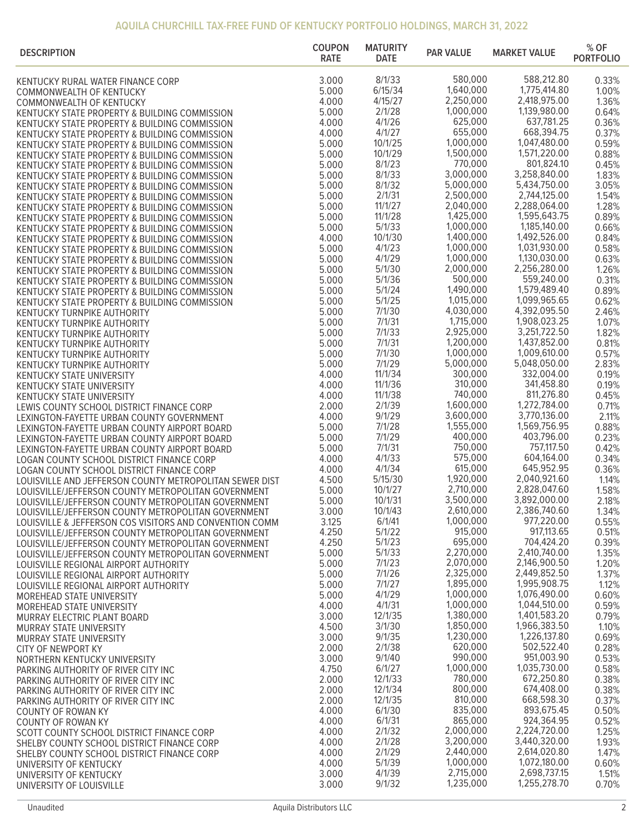## **AQUILA CHURCHILL TAX-FREE FUND OF KENTUCKY PORTFOLIO HOLDINGS, MARCH 31, 2022**

| <b>DESCRIPTION</b>                                                                                         | <b>COUPON</b><br><b>RATE</b> | <b>MATURITY</b><br><b>DATE</b> | <b>PAR VALUE</b>       | <b>MARKET VALUE</b>          | $%$ OF<br><b>PORTFOLIO</b> |
|------------------------------------------------------------------------------------------------------------|------------------------------|--------------------------------|------------------------|------------------------------|----------------------------|
| KENTUCKY RURAL WATER FINANCE CORP                                                                          | 3.000                        | 8/1/33                         | 580,000                | 588,212.80                   | 0.33%                      |
| COMMONWEALTH OF KENTUCKY                                                                                   | 5.000                        | 6/15/34                        | 1,640,000              | 1,775,414.80                 | 1.00%                      |
| COMMONWEALTH OF KENTUCKY                                                                                   | 4.000                        | 4/15/27                        | 2,250,000              | 2,418,975.00                 | 1.36%                      |
| KENTUCKY STATE PROPERTY & BUILDING COMMISSION                                                              | 5.000                        | 2/1/28                         | 1,000,000              | 1,139,980.00                 | 0.64%                      |
| KENTUCKY STATE PROPERTY & BUILDING COMMISSION                                                              | 4.000                        | 4/1/26                         | 625,000                | 637,781.25                   | 0.36%                      |
| KENTUCKY STATE PROPERTY & BUILDING COMMISSION                                                              | 4.000                        | 4/1/27                         | 655,000                | 668,394.75                   | 0.37%                      |
| KENTUCKY STATE PROPERTY & BUILDING COMMISSION                                                              | 5.000                        | 10/1/25                        | 1,000,000<br>1,500,000 | 1,047,480.00                 | 0.59%                      |
| KENTUCKY STATE PROPERTY & BUILDING COMMISSION                                                              | 5.000<br>5.000               | 10/1/29<br>8/1/23              | 770,000                | 1,571,220.00<br>801,824.10   | 0.88%<br>0.45%             |
| KENTUCKY STATE PROPERTY & BUILDING COMMISSION                                                              | 5.000                        | 8/1/33                         | 3,000,000              | 3,258,840.00                 | 1.83%                      |
| KENTUCKY STATE PROPERTY & BUILDING COMMISSION<br>KENTUCKY STATE PROPERTY & BUILDING COMMISSION             | 5.000                        | 8/1/32                         | 5,000,000              | 5,434,750.00                 | 3.05%                      |
| KENTUCKY STATE PROPERTY & BUILDING COMMISSION                                                              | 5.000                        | 2/1/31                         | 2,500,000              | 2,744,125.00                 | 1.54%                      |
| KENTUCKY STATE PROPERTY & BUILDING COMMISSION                                                              | 5.000                        | 11/1/27                        | 2,040,000              | 2,288,064.00                 | 1.28%                      |
| KENTUCKY STATE PROPERTY & BUILDING COMMISSION                                                              | 5.000                        | 11/1/28                        | 1,425,000              | 1,595,643.75                 | 0.89%                      |
| KENTUCKY STATE PROPERTY & BUILDING COMMISSION                                                              | 5.000                        | 5/1/33                         | 1,000,000              | 1,185,140.00                 | 0.66%                      |
| KENTUCKY STATE PROPERTY & BUILDING COMMISSION                                                              | 4.000                        | 10/1/30                        | 1,400,000              | 1,492,526.00                 | 0.84%                      |
| KENTUCKY STATE PROPERTY & BUILDING COMMISSION                                                              | 5.000                        | 4/1/23                         | 1,000,000              | 1,031,930.00                 | 0.58%                      |
| KENTUCKY STATE PROPERTY & BUILDING COMMISSION                                                              | 5.000                        | 4/1/29                         | 1,000,000              | 1,130,030.00                 | 0.63%                      |
| KENTUCKY STATE PROPERTY & BUILDING COMMISSION                                                              | 5.000                        | 5/1/30<br>5/1/36               | 2,000,000<br>500,000   | 2,256,280.00<br>559,240.00   | 1.26%                      |
| KENTUCKY STATE PROPERTY & BUILDING COMMISSION                                                              | 5.000<br>5.000               | 5/1/24                         | 1,490,000              | 1,579,489.40                 | 0.31%<br>0.89%             |
| KENTUCKY STATE PROPERTY & BUILDING COMMISSION                                                              | 5.000                        | 5/1/25                         | 1,015,000              | 1,099,965.65                 | 0.62%                      |
| KENTUCKY STATE PROPERTY & BUILDING COMMISSION<br><b>KENTUCKY TURNPIKE AUTHORITY</b>                        | 5.000                        | 7/1/30                         | 4,030,000              | 4,392,095.50                 | 2.46%                      |
| <b>KENTUCKY TURNPIKE AUTHORITY</b>                                                                         | 5.000                        | 7/1/31                         | 1,715,000              | 1,908,023.25                 | 1.07%                      |
| <b>KENTUCKY TURNPIKE AUTHORITY</b>                                                                         | 5.000                        | 7/1/33                         | 2,925,000              | 3,251,722.50                 | 1.82%                      |
| <b>KENTUCKY TURNPIKE AUTHORITY</b>                                                                         | 5.000                        | 7/1/31                         | 1,200,000              | 1,437,852.00                 | 0.81%                      |
| <b>KENTUCKY TURNPIKE AUTHORITY</b>                                                                         | 5.000                        | 7/1/30                         | 1,000,000              | 1,009,610.00                 | 0.57%                      |
| <b>KENTUCKY TURNPIKE AUTHORITY</b>                                                                         | 5.000                        | 7/1/29                         | 5,000,000              | 5,048,050.00                 | 2.83%                      |
| <b>KENTUCKY STATE UNIVERSITY</b>                                                                           | 4.000                        | 11/1/34                        | 300,000                | 332,004.00                   | 0.19%                      |
| <b>KENTUCKY STATE UNIVERSITY</b>                                                                           | 4.000                        | 11/1/36                        | 310,000                | 341,458.80                   | 0.19%                      |
| <b>KENTUCKY STATE UNIVERSITY</b>                                                                           | 4.000                        | 11/1/38                        | 740,000                | 811,276.80                   | 0.45%                      |
| LEWIS COUNTY SCHOOL DISTRICT FINANCE CORP                                                                  | 2.000<br>4.000               | 2/1/39<br>9/1/29               | 1,600,000<br>3,600,000 | 1,272,784.00<br>3,770,136.00 | 0.71%<br>2.11%             |
| LEXINGTON-FAYETTE URBAN COUNTY GOVERNMENT<br>LEXINGTON-FAYETTE URBAN COUNTY AIRPORT BOARD                  | 5.000                        | 7/1/28                         | 1,555,000              | 1,569,756.95                 | 0.88%                      |
| LEXINGTON-FAYETTE URBAN COUNTY AIRPORT BOARD                                                               | 5.000                        | 7/1/29                         | 400,000                | 403,796.00                   | 0.23%                      |
| LEXINGTON-FAYETTE URBAN COUNTY AIRPORT BOARD                                                               | 5.000                        | 7/1/31                         | 750,000                | 757,117.50                   | 0.42%                      |
| LOGAN COUNTY SCHOOL DISTRICT FINANCE CORP                                                                  | 4.000                        | 4/1/33                         | 575,000                | 604,164.00                   | 0.34%                      |
| LOGAN COUNTY SCHOOL DISTRICT FINANCE CORP                                                                  | 4.000                        | 4/1/34                         | 615,000                | 645,952.95                   | 0.36%                      |
| LOUISVILLE AND JEFFERSON COUNTY METROPOLITAN SEWER DIST                                                    | 4.500                        | 5/15/30                        | 1,920,000              | 2,040,921.60                 | 1.14%                      |
| LOUISVILLE/JEFFERSON COUNTY METROPOLITAN GOVERNMENT                                                        | 5.000                        | 10/1/27                        | 2,710,000              | 2,828,047.60                 | 1.58%                      |
| LOUISVILLE/JEFFERSON COUNTY METROPOLITAN GOVERNMENT                                                        | 5.000                        | 10/1/31                        | 3,500,000              | 3,892,000.00                 | 2.18%                      |
| LOUISVILLE/JEFFERSON COUNTY METROPOLITAN GOVERNMENT                                                        | 3.000                        | 10/1/43<br>6/1/41              | 2,610,000<br>1,000,000 | 2,386,740.60<br>977,220.00   | 1.34%                      |
| LOUISVILLE & JEFFERSON COS VISITORS AND CONVENTION COMM                                                    | 3.125<br>4.250               | 5/1/22                         | 915,000                | 917,113.65                   | 0.55%<br>0.51%             |
| LOUISVILLE/JEFFERSON COUNTY METROPOLITAN GOVERNMENT<br>LOUISVILLE/JEFFERSON COUNTY METROPOLITAN GOVERNMENT | 4.250                        | 5/1/23                         | 695,000                | 704,424.20                   | 0.39%                      |
| LOUISVILLE/JEFFERSON COUNTY METROPOLITAN GOVERNMENT                                                        | 5.000                        | 5/1/33                         | 2,270,000              | 2,410,740.00                 | 1.35%                      |
| LOUISVILLE REGIONAL AIRPORT AUTHORITY                                                                      | 5.000                        | 7/1/23                         | 2,070,000              | 2,146,900.50                 | 1.20%                      |
| LOUISVILLE REGIONAL AIRPORT AUTHORITY                                                                      | 5.000                        | 7/1/26                         | 2,325,000              | 2,449,852.50                 | 1.37%                      |
| LOUISVILLE REGIONAL AIRPORT AUTHORITY                                                                      | 5.000                        | 7/1/27                         | 1,895,000              | 1,995,908.75                 | 1.12%                      |
| MOREHEAD STATE UNIVERSITY                                                                                  | 5.000                        | 4/1/29                         | 1,000,000              | 1,076,490.00                 | 0.60%                      |
| MOREHEAD STATE UNIVERSITY                                                                                  | 4.000                        | 4/1/31                         | 1,000,000              | 1,044,510.00                 | 0.59%                      |
| MURRAY ELECTRIC PLANT BOARD                                                                                | 3.000                        | 12/1/35                        | 1,380,000              | 1,401,583.20                 | 0.79%                      |
| MURRAY STATE UNIVERSITY                                                                                    | 4.500                        | 3/1/30<br>9/1/35               | 1,850,000<br>1,230,000 | 1,966,383.50<br>1,226,137.80 | 1.10%                      |
| MURRAY STATE UNIVERSITY                                                                                    | 3.000<br>2.000               | 2/1/38                         | 620,000                | 502,522.40                   | 0.69%<br>0.28%             |
| <b>CITY OF NEWPORT KY</b><br>NORTHERN KENTUCKY UNIVERSITY                                                  | 3.000                        | 9/1/40                         | 990,000                | 951,003.90                   | 0.53%                      |
| PARKING AUTHORITY OF RIVER CITY INC                                                                        | 4.750                        | 6/1/27                         | 1,000,000              | 1,035,730.00                 | 0.58%                      |
| PARKING AUTHORITY OF RIVER CITY INC                                                                        | 2.000                        | 12/1/33                        | 780,000                | 672,250.80                   | 0.38%                      |
| PARKING AUTHORITY OF RIVER CITY INC                                                                        | 2.000                        | 12/1/34                        | 800,000                | 674,408.00                   | 0.38%                      |
| PARKING AUTHORITY OF RIVER CITY INC                                                                        | 2.000                        | 12/1/35                        | 810,000                | 668,598.30                   | 0.37%                      |
| <b>COUNTY OF ROWAN KY</b>                                                                                  | 4.000                        | 6/1/30                         | 835,000                | 893,675.45                   | 0.50%                      |
| <b>COUNTY OF ROWAN KY</b>                                                                                  | 4.000                        | 6/1/31                         | 865,000                | 924,364.95                   | 0.52%                      |
| SCOTT COUNTY SCHOOL DISTRICT FINANCE CORP                                                                  | 4.000                        | 2/1/32                         | 2,000,000              | 2,224,720.00                 | 1.25%                      |
| SHELBY COUNTY SCHOOL DISTRICT FINANCE CORP                                                                 | 4.000                        | 2/1/28<br>2/1/29               | 3,200,000<br>2,440,000 | 3,440,320.00<br>2,614,020.80 | 1.93%<br>1.47%             |
| SHELBY COUNTY SCHOOL DISTRICT FINANCE CORP<br>UNIVERSITY OF KENTUCKY                                       | 4.000<br>4.000               | 5/1/39                         | 1,000,000              | 1,072,180.00                 | 0.60%                      |
| UNIVERSITY OF KENTUCKY                                                                                     | 3.000                        | 4/1/39                         | 2,715,000              | 2,698,737.15                 | 1.51%                      |
| UNIVERSITY OF LOUISVILLE                                                                                   | 3.000                        | 9/1/32                         | 1,235,000              | 1,255,278.70                 | 0.70%                      |